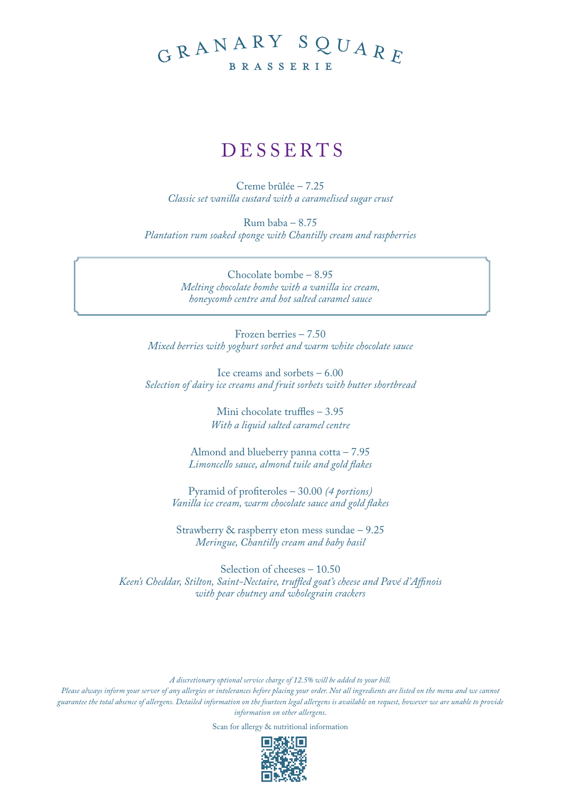## GRANARY SQUARE BRASSERIE

## DESSERTS

Creme brûlée – 7.25 *Classic set vanilla custard with a caramelised sugar crust*

Rum baba – 8.75 *Plantation rum soaked sponge with Chantilly cream and raspberries*

> Chocolate bombe – 8.95 *Melting chocolate bombe with a vanilla ice cream, honeycomb centre and hot salted caramel sauce*

Frozen berries – 7.50 *Mixed berries with yoghurt sorbet and warm white chocolate sauce*

Ice creams and sorbets – 6.00 *Selection of dairy ice creams and fruit sorbets with butter shortbread*

> Mini chocolate truffles – 3.95 *With a liquid salted caramel centre*

Almond and blueberry panna cotta – 7.95 *Limoncello sauce, almond tuile and gold flakes*

Pyramid of profiteroles – 30.00 *(4 portions) Vanilla ice cream, warm chocolate sauce and gold flakes*

Strawberry & raspberry eton mess sundae – 9.25 *Meringue, Chantilly cream and baby basil*

Selection of cheeses – 10.50 *Keen's Cheddar, Stilton, Saint-Nectaire, truffled goat's cheese and Pavé d'Affinois with pear chutney and wholegrain crackers*

*A discretionary optional service charge of 12.5% will be added to your bill.* 

*Please always inform your server of any allergies or intolerances before placing your order. Not all ingredients are listed on the menu and we cannot guarantee the total absence of allergens. Detailed information on the fourteen legal allergens is available on request, however we are unable to provide information on other allergens.*

Scan for allergy & nutritional information